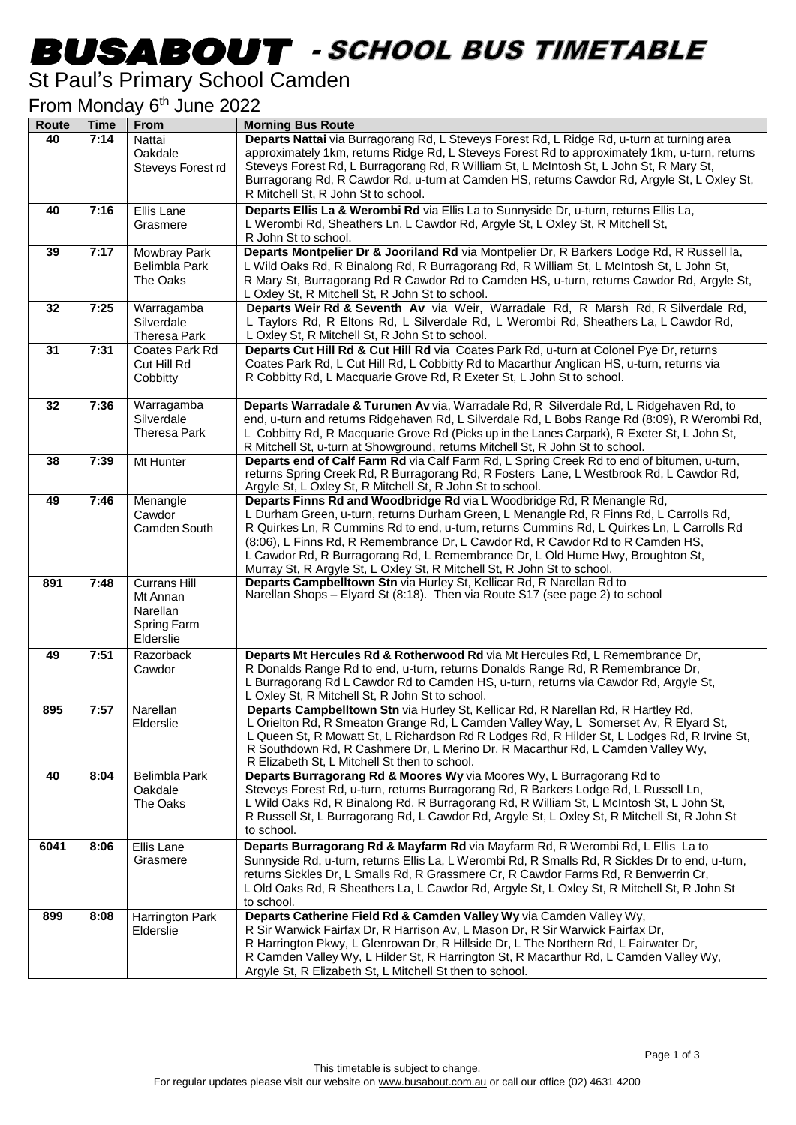## -

## St Paul's Primary School Camden

#### From Monday 6<sup>th</sup> June 2022

| Route | <b>Time</b> | <b>From</b>                                                             | <b>Morning Bus Route</b>                                                                                                                                                                                                                                                                                                                                                                                                                                                                                       |
|-------|-------------|-------------------------------------------------------------------------|----------------------------------------------------------------------------------------------------------------------------------------------------------------------------------------------------------------------------------------------------------------------------------------------------------------------------------------------------------------------------------------------------------------------------------------------------------------------------------------------------------------|
| 40    | 7:14        | Nattai<br>Oakdale<br>Steveys Forest rd                                  | Departs Nattai via Burragorang Rd, L Steveys Forest Rd, L Ridge Rd, u-turn at turning area<br>approximately 1km, returns Ridge Rd, L Steveys Forest Rd to approximately 1km, u-turn, returns<br>Steveys Forest Rd, L Burragorang Rd, R William St, L McIntosh St, L John St, R Mary St,<br>Burragorang Rd, R Cawdor Rd, u-turn at Camden HS, returns Cawdor Rd, Argyle St, L Oxley St,<br>R Mitchell St, R John St to school.                                                                                  |
| 40    | 7:16        | Ellis Lane<br>Grasmere                                                  | Departs Ellis La & Werombi Rd via Ellis La to Sunnyside Dr, u-turn, returns Ellis La,<br>L Werombi Rd, Sheathers Ln, L Cawdor Rd, Argyle St, L Oxley St, R Mitchell St,<br>R John St to school.                                                                                                                                                                                                                                                                                                                |
| 39    | 7:17        | Mowbray Park<br>Belimbla Park<br>The Oaks                               | Departs Montpelier Dr & Jooriland Rd via Montpelier Dr, R Barkers Lodge Rd, R Russell la,<br>L Wild Oaks Rd, R Binalong Rd, R Burragorang Rd, R William St, L McIntosh St, L John St,<br>R Mary St, Burragorang Rd R Cawdor Rd to Camden HS, u-turn, returns Cawdor Rd, Argyle St,<br>L Oxley St, R Mitchell St, R John St to school.                                                                                                                                                                          |
| 32    | 7:25        | Warragamba<br>Silverdale<br>Theresa Park                                | Departs Weir Rd & Seventh Av via Weir, Warradale Rd, R Marsh Rd, R Silverdale Rd,<br>L Taylors Rd, R Eltons Rd, L Silverdale Rd, L Werombi Rd, Sheathers La, L Cawdor Rd,<br>L Oxley St, R Mitchell St, R John St to school.                                                                                                                                                                                                                                                                                   |
| 31    | 7:31        | Coates Park Rd<br>Cut Hill Rd<br>Cobbitty                               | Departs Cut Hill Rd & Cut Hill Rd via Coates Park Rd, u-turn at Colonel Pye Dr, returns<br>Coates Park Rd, L Cut Hill Rd, L Cobbitty Rd to Macarthur Anglican HS, u-turn, returns via<br>R Cobbitty Rd, L Macquarie Grove Rd, R Exeter St, L John St to school.                                                                                                                                                                                                                                                |
| 32    | 7:36        | Warragamba<br>Silverdale<br><b>Theresa Park</b>                         | Departs Warradale & Turunen Av via, Warradale Rd, R Silverdale Rd, L Ridgehaven Rd, to<br>end, u-turn and returns Ridgehaven Rd, L Silverdale Rd, L Bobs Range Rd (8:09), R Werombi Rd,<br>L Cobbitty Rd, R Macquarie Grove Rd (Picks up in the Lanes Carpark), R Exeter St, L John St,<br>R Mitchell St, u-turn at Showground, returns Mitchell St, R John St to school.                                                                                                                                      |
| 38    | 7:39        | Mt Hunter                                                               | Departs end of Calf Farm Rd via Calf Farm Rd, L Spring Creek Rd to end of bitumen, u-turn,<br>returns Spring Creek Rd, R Burragorang Rd, R Fosters Lane, L Westbrook Rd, L Cawdor Rd,<br>Argyle St, L Oxley St, R Mitchell St, R John St to school.                                                                                                                                                                                                                                                            |
| 49    | 7:46        | Menangle<br>Cawdor<br>Camden South                                      | Departs Finns Rd and Woodbridge Rd via L Woodbridge Rd, R Menangle Rd,<br>L Durham Green, u-turn, returns Durham Green, L Menangle Rd, R Finns Rd, L Carrolls Rd,<br>R Quirkes Ln, R Cummins Rd to end, u-turn, returns Cummins Rd, L Quirkes Ln, L Carrolls Rd<br>(8:06), L Finns Rd, R Remembrance Dr, L Cawdor Rd, R Cawdor Rd to R Camden HS,<br>L Cawdor Rd, R Burragorang Rd, L Remembrance Dr, L Old Hume Hwy, Broughton St,<br>Murray St, R Argyle St, L Oxley St, R Mitchell St, R John St to school. |
| 891   | 7:48        | <b>Currans Hill</b><br>Mt Annan<br>Narellan<br>Spring Farm<br>Elderslie | Departs Campbelltown Stn via Hurley St, Kellicar Rd, R Narellan Rd to<br>Narellan Shops - Elyard St (8:18). Then via Route S17 (see page 2) to school                                                                                                                                                                                                                                                                                                                                                          |
| 49    | 7:51        | Razorback<br>Cawdor                                                     | Departs Mt Hercules Rd & Rotherwood Rd via Mt Hercules Rd, L Remembrance Dr,<br>R Donalds Range Rd to end, u-turn, returns Donalds Range Rd, R Remembrance Dr,<br>L Burragorang Rd L Cawdor Rd to Camden HS, u-turn, returns via Cawdor Rd, Argyle St,<br>L Oxley St, R Mitchell St, R John St to school.                                                                                                                                                                                                      |
| 895   | 7:57        | Narellan<br>Elderslie                                                   | Departs Campbelltown Stn via Hurley St, Kellicar Rd, R Narellan Rd, R Hartley Rd,<br>L Orielton Rd, R Smeaton Grange Rd, L Camden Valley Way, L Somerset Av, R Elyard St,<br>L Queen St, R Mowatt St, L Richardson Rd R Lodges Rd, R Hilder St, L Lodges Rd, R Irvine St,<br>R Southdown Rd, R Cashmere Dr, L Merino Dr, R Macarthur Rd, L Camden Valley Wy,<br>R Elizabeth St, L Mitchell St then to school.                                                                                                  |
| 40    | 8:04        | Belimbla Park<br>Oakdale<br>The Oaks                                    | Departs Burragorang Rd & Moores Wy via Moores Wy, L Burragorang Rd to<br>Steveys Forest Rd, u-turn, returns Burragorang Rd, R Barkers Lodge Rd, L Russell Ln,<br>L Wild Oaks Rd, R Binalong Rd, R Burragorang Rd, R William St, L McIntosh St, L John St,<br>R Russell St, L Burragorang Rd, L Cawdor Rd, Argyle St, L Oxley St, R Mitchell St, R John St<br>to school.                                                                                                                                        |
| 6041  | 8:06        | Ellis Lane<br>Grasmere                                                  | Departs Burragorang Rd & Mayfarm Rd via Mayfarm Rd, R Werombi Rd, L Ellis La to<br>Sunnyside Rd, u-turn, returns Ellis La, L Werombi Rd, R Smalls Rd, R Sickles Dr to end, u-turn,<br>returns Sickles Dr, L Smalls Rd, R Grassmere Cr, R Cawdor Farms Rd, R Benwerrin Cr,<br>L Old Oaks Rd, R Sheathers La, L Cawdor Rd, Argyle St, L Oxley St, R Mitchell St, R John St<br>to school.                                                                                                                         |
| 899   | 8:08        | Harrington Park<br>Elderslie                                            | Departs Catherine Field Rd & Camden Valley Wy via Camden Valley Wy,<br>R Sir Warwick Fairfax Dr, R Harrison Av, L Mason Dr, R Sir Warwick Fairfax Dr,<br>R Harrington Pkwy, L Glenrowan Dr, R Hillside Dr, L The Northern Rd, L Fairwater Dr,<br>R Camden Valley Wy, L Hilder St, R Harrington St, R Macarthur Rd, L Camden Valley Wy,<br>Argyle St, R Elizabeth St, L Mitchell St then to school.                                                                                                             |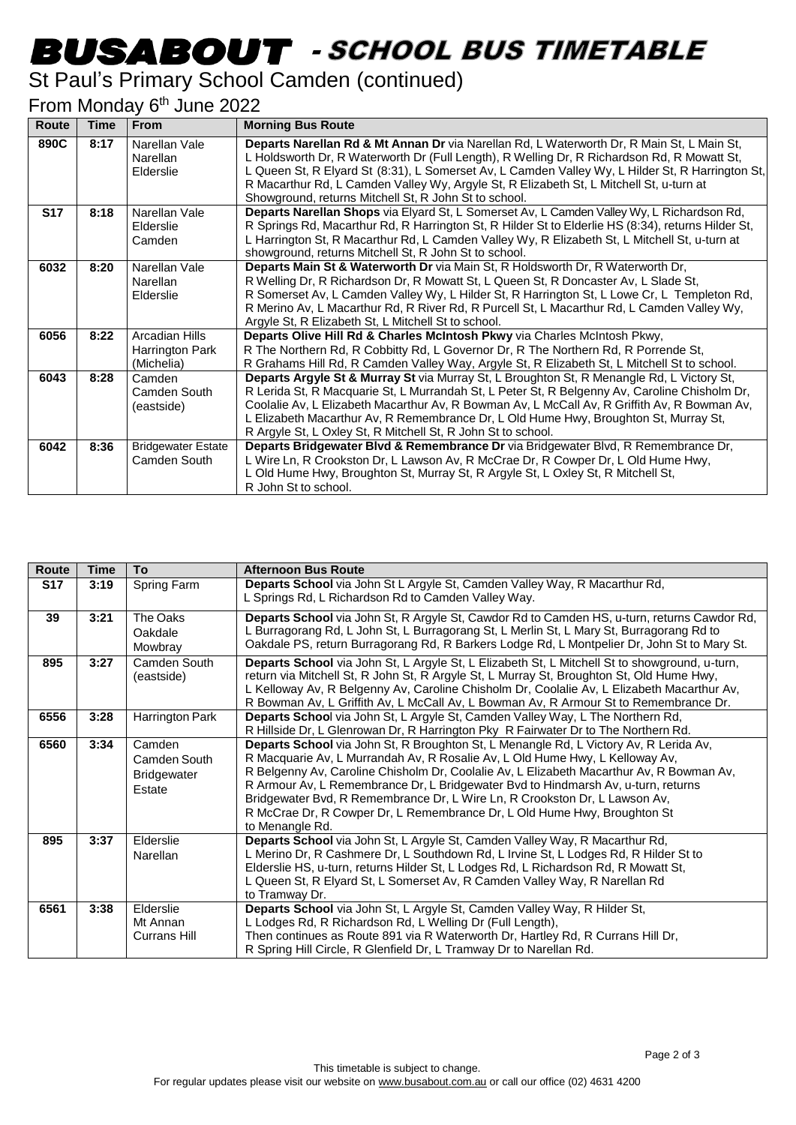# -

### St Paul's Primary School Camden (continued)

#### From Monday 6<sup>th</sup> June 2022

| <b>Route</b> | <b>Time</b> | <b>From</b>                                     | <b>Morning Bus Route</b>                                                                                                                                                                                                                                                                                                                                                                                                                           |
|--------------|-------------|-------------------------------------------------|----------------------------------------------------------------------------------------------------------------------------------------------------------------------------------------------------------------------------------------------------------------------------------------------------------------------------------------------------------------------------------------------------------------------------------------------------|
| 890C         | 8:17        | Narellan Vale<br>Narellan<br>Elderslie          | Departs Narellan Rd & Mt Annan Dr via Narellan Rd, L Waterworth Dr, R Main St, L Main St,<br>L Holdsworth Dr, R Waterworth Dr (Full Length), R Welling Dr, R Richardson Rd, R Mowatt St,<br>L Queen St, R Elyard St (8:31), L Somerset Av, L Camden Valley Wy, L Hilder St, R Harrington St,<br>R Macarthur Rd, L Camden Valley Wy, Argyle St, R Elizabeth St, L Mitchell St, u-turn at<br>Showground, returns Mitchell St, R John St to school.   |
| <b>S17</b>   | 8:18        | Narellan Vale<br>Elderslie<br>Camden            | Departs Narellan Shops via Elyard St, L Somerset Av, L Camden Valley Wy, L Richardson Rd,<br>R Springs Rd, Macarthur Rd, R Harrington St, R Hilder St to Elderlie HS (8:34), returns Hilder St,<br>L Harrington St, R Macarthur Rd, L Camden Valley Wy, R Elizabeth St, L Mitchell St, u-turn at<br>showground, returns Mitchell St, R John St to school.                                                                                          |
| 6032         | 8:20        | Narellan Vale<br><b>Narellan</b><br>Elderslie   | Departs Main St & Waterworth Dr via Main St, R Holdsworth Dr, R Waterworth Dr,<br>R Welling Dr, R Richardson Dr, R Mowatt St, L Queen St, R Doncaster Av, L Slade St,<br>R Somerset Av, L Camden Valley Wy, L Hilder St, R Harrington St, L Lowe Cr, L Templeton Rd,<br>R Merino Av, L Macarthur Rd, R River Rd, R Purcell St, L Macarthur Rd, L Camden Valley Wy,<br>Argyle St, R Elizabeth St, L Mitchell St to school.                          |
| 6056         | 8:22        | Arcadian Hills<br>Harrington Park<br>(Michelia) | Departs Olive Hill Rd & Charles McIntosh Pkwy via Charles McIntosh Pkwy,<br>R The Northern Rd, R Cobbitty Rd, L Governor Dr, R The Northern Rd, R Porrende St,<br>R Grahams Hill Rd, R Camden Valley Way, Argyle St, R Elizabeth St, L Mitchell St to school.                                                                                                                                                                                      |
| 6043         | 8:28        | Camden<br>Camden South<br>(eastside)            | Departs Argyle St & Murray St via Murray St, L Broughton St, R Menangle Rd, L Victory St,<br>R Lerida St, R Macquarie St, L Murrandah St, L Peter St, R Belgenny Av, Caroline Chisholm Dr,<br>Coolalie Av, L Elizabeth Macarthur Av, R Bowman Av, L McCall Av, R Griffith Av, R Bowman Av,<br>L Elizabeth Macarthur Av, R Remembrance Dr, L Old Hume Hwy, Broughton St, Murray St,<br>R Argyle St, L Oxley St, R Mitchell St, R John St to school. |
| 6042         | 8:36        | <b>Bridgewater Estate</b><br>Camden South       | Departs Bridgewater Blvd & Remembrance Dr via Bridgewater Blvd, R Remembrance Dr,<br>L Wire Ln, R Crookston Dr, L Lawson Av, R McCrae Dr, R Cowper Dr, L Old Hume Hwy,<br>L Old Hume Hwy, Broughton St, Murray St, R Argyle St, L Oxley St, R Mitchell St,<br>R John St to school.                                                                                                                                                                 |

| Route      | <b>Time</b> | To                                                     | <b>Afternoon Bus Route</b>                                                                                                                                                                                                                                                                                                                                                                                                                                                                                                          |
|------------|-------------|--------------------------------------------------------|-------------------------------------------------------------------------------------------------------------------------------------------------------------------------------------------------------------------------------------------------------------------------------------------------------------------------------------------------------------------------------------------------------------------------------------------------------------------------------------------------------------------------------------|
| <b>S17</b> | 3:19        | Spring Farm                                            | Departs School via John St L Argyle St, Camden Valley Way, R Macarthur Rd,<br>L Springs Rd, L Richardson Rd to Camden Valley Way.                                                                                                                                                                                                                                                                                                                                                                                                   |
| 39         | 3:21        | The Oaks<br>Oakdale<br>Mowbray                         | Departs School via John St, R Argyle St, Cawdor Rd to Camden HS, u-turn, returns Cawdor Rd,<br>L Burragorang Rd, L John St, L Burragorang St, L Merlin St, L Mary St, Burragorang Rd to<br>Oakdale PS, return Burragorang Rd, R Barkers Lodge Rd, L Montpelier Dr, John St to Mary St.                                                                                                                                                                                                                                              |
| 895        | 3:27        | Camden South<br>(eastside)                             | <b>Departs School</b> via John St, L Argyle St, L Elizabeth St, L Mitchell St to showground, u-turn,<br>return via Mitchell St, R John St, R Argyle St, L Murray St, Broughton St, Old Hume Hwy,<br>L Kelloway Av, R Belgenny Av, Caroline Chisholm Dr, Coolalie Av, L Elizabeth Macarthur Av,<br>R Bowman Av, L Griffith Av, L McCall Av, L Bowman Av, R Armour St to Remembrance Dr.                                                                                                                                              |
| 6556       | 3:28        | Harrington Park                                        | Departs School via John St, L Argyle St, Camden Valley Way, L The Northern Rd,<br>R Hillside Dr, L Glenrowan Dr, R Harrington Pky R Fairwater Dr to The Northern Rd.                                                                                                                                                                                                                                                                                                                                                                |
| 6560       | 3:34        | Camden<br>Camden South<br><b>Bridgewater</b><br>Estate | Departs School via John St, R Broughton St, L Menangle Rd, L Victory Av, R Lerida Av,<br>R Macquarie Av, L Murrandah Av, R Rosalie Av, L Old Hume Hwy, L Kelloway Av,<br>R Belgenny Av, Caroline Chisholm Dr, Coolalie Av, L Elizabeth Macarthur Av, R Bowman Av,<br>R Armour Av, L Remembrance Dr, L Bridgewater Bvd to Hindmarsh Av, u-turn, returns<br>Bridgewater Bvd, R Remembrance Dr, L Wire Ln, R Crookston Dr, L Lawson Av,<br>R McCrae Dr, R Cowper Dr, L Remembrance Dr, L Old Hume Hwy, Broughton St<br>to Menangle Rd. |
| 895        | 3:37        | Elderslie<br>Narellan                                  | Departs School via John St, L Argyle St, Camden Valley Way, R Macarthur Rd,<br>L Merino Dr, R Cashmere Dr, L Southdown Rd, L Irvine St, L Lodges Rd, R Hilder St to<br>Elderslie HS, u-turn, returns Hilder St, L Lodges Rd, L Richardson Rd, R Mowatt St,<br>L Queen St, R Elyard St, L Somerset Av, R Camden Valley Way, R Narellan Rd<br>to Tramway Dr.                                                                                                                                                                          |
| 6561       | 3:38        | Elderslie<br>Mt Annan<br><b>Currans Hill</b>           | Departs School via John St, L Argyle St, Camden Valley Way, R Hilder St,<br>L Lodges Rd, R Richardson Rd, L Welling Dr (Full Length),<br>Then continues as Route 891 via R Waterworth Dr, Hartley Rd, R Currans Hill Dr,<br>R Spring Hill Circle, R Glenfield Dr, L Tramway Dr to Narellan Rd.                                                                                                                                                                                                                                      |